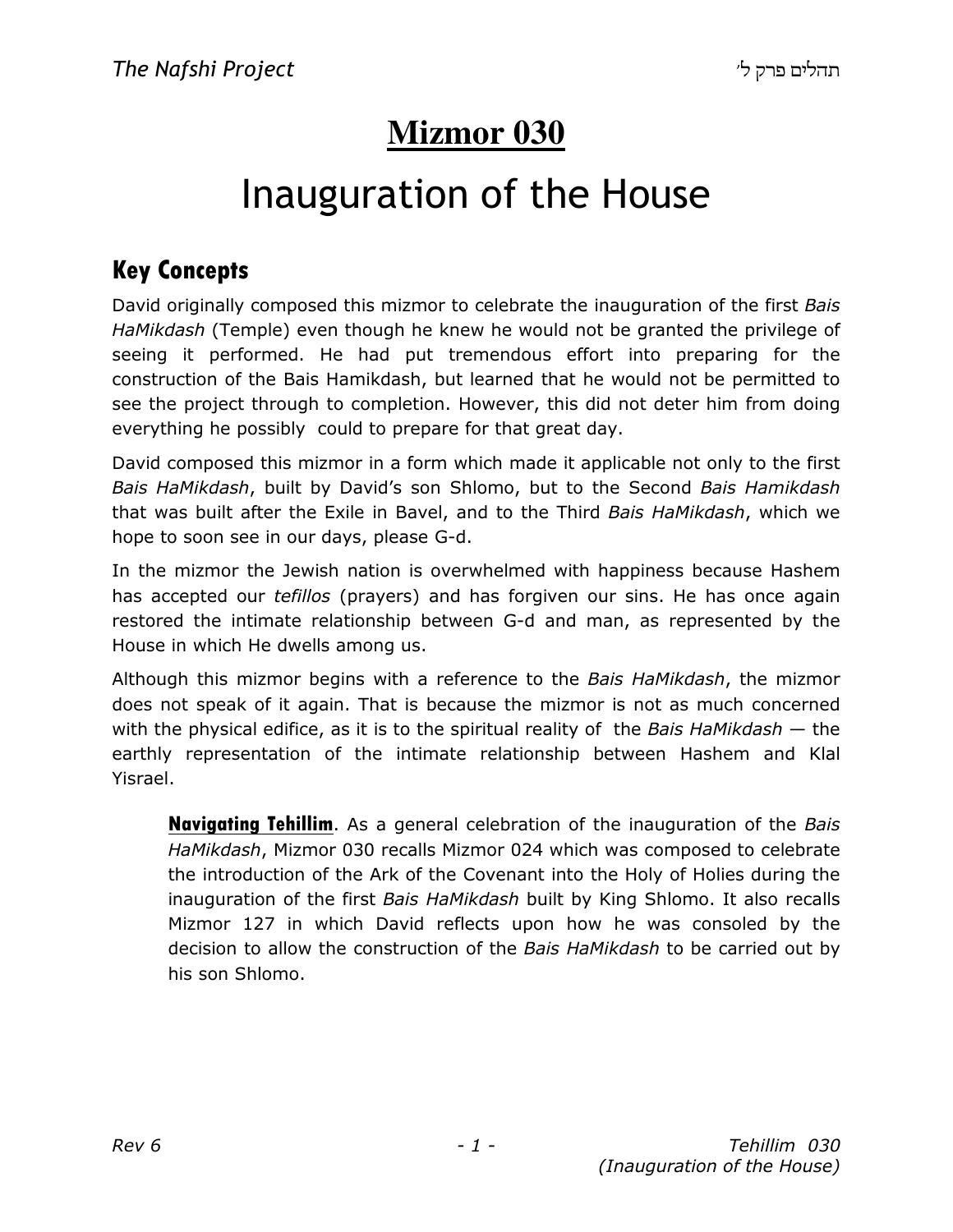# **Mizmor 030**

# Inauguration of the House

### Key Concepts

David originally composed this mizmor to celebrate the inauguration of the first Bais HaMikdash (Temple) even though he knew he would not be granted the privilege of seeing it performed. He had put tremendous effort into preparing for the construction of the Bais Hamikdash, but learned that he would not be permitted to see the project through to completion. However, this did not deter him from doing everything he possibly could to prepare for that great day.

David composed this mizmor in a form which made it applicable not only to the first Bais HaMikdash, built by David's son Shlomo, but to the Second Bais Hamikdash that was built after the Exile in Bavel, and to the Third Bais HaMikdash, which we hope to soon see in our days, please G-d.

In the mizmor the Jewish nation is overwhelmed with happiness because Hashem has accepted our *tefillos* (prayers) and has forgiven our sins. He has once again restored the intimate relationship between G-d and man, as represented by the House in which He dwells among us.

Although this mizmor begins with a reference to the *Bais HaMikdash*, the mizmor does not speak of it again. That is because the mizmor is not as much concerned with the physical edifice, as it is to the spiritual reality of the Bais HaMikdash  $-$  the earthly representation of the intimate relationship between Hashem and Klal Yisrael.

**Navigating Tehillim.** As a general celebration of the inauguration of the *Bais* HaMikdash, Mizmor 030 recalls Mizmor 024 which was composed to celebrate the introduction of the Ark of the Covenant into the Holy of Holies during the inauguration of the first Bais HaMikdash built by King Shlomo. It also recalls Mizmor 127 in which David reflects upon how he was consoled by the decision to allow the construction of the Bais HaMikdash to be carried out by his son Shlomo.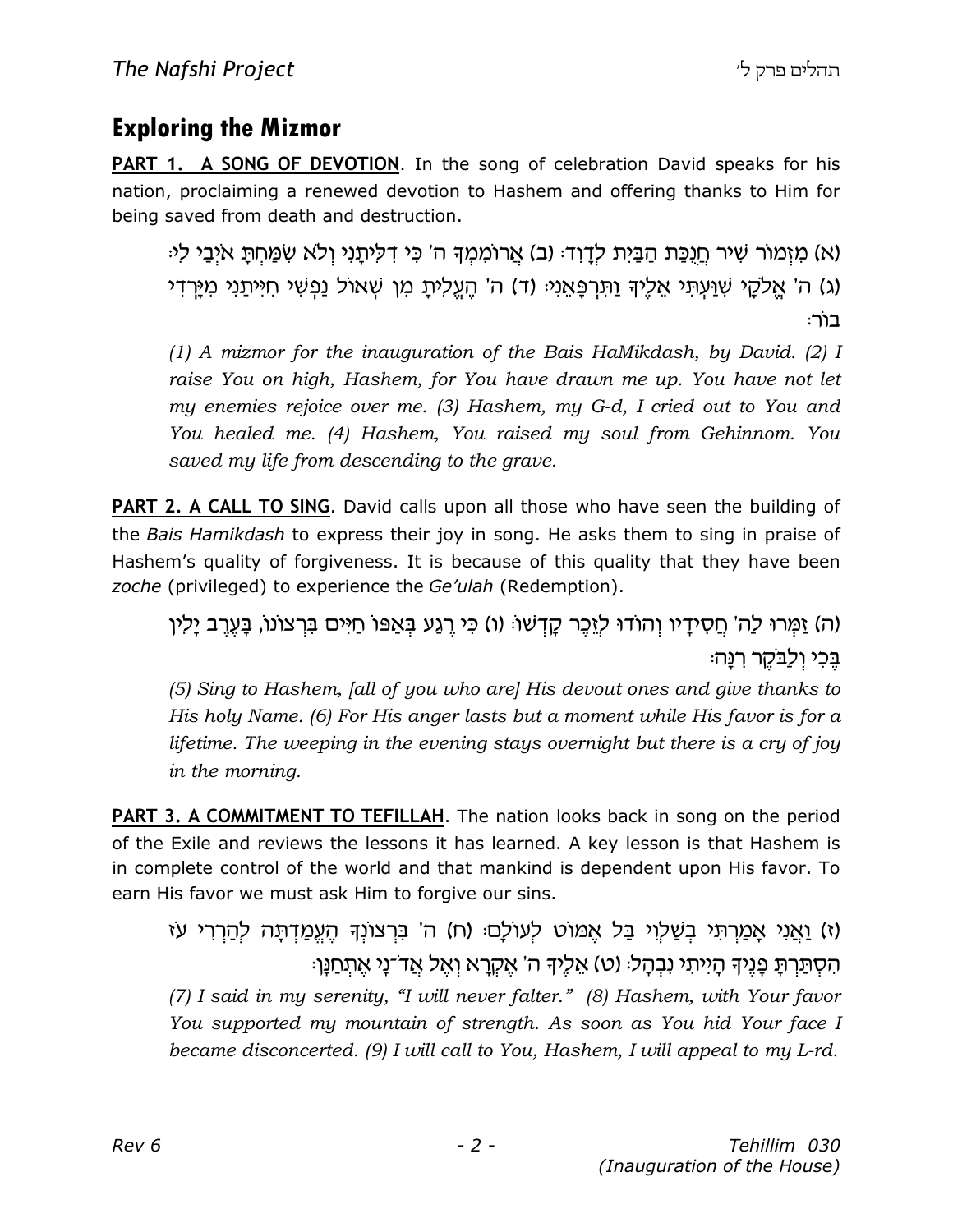### Exploring the Mizmor

PART 1. A SONG OF DEVOTION. In the song of celebration David speaks for his nation, proclaiming a renewed devotion to Hashem and offering thanks to Him for being saved from death and destruction.

(א) מַזְמוֹר שִׁיר חֲנָכֶת הַבֵּיְת לָדָוָד: (ב) אֲרוֹמְמִךְ ה' כִּי דְלִיתֲנִי וְלֹא שְׂמַחְתָּ אֹיָבֵי לִי: (ג) ה' אֱלקֵי שָׁוַעִתִּי אֱלֶיךָ וַתְּרְפָּאֱנִיּ (ד) ה' הֵעֱלִיתָ מְן שָׁאוֹל וַפְשִׁי חִיִּיתַנִי מְיַרַדִי :רוֹר

(1) A mizmor for the inauguration of the Bais HaMikdash, by David. (2) I raise You on high, Hashem, for You have drawn me up. You have not let my enemies rejoice over me. (3) Hashem, my G-d, I cried out to You and You healed me. (4) Hashem, You raised my soul from Gehinnom. You saved my life from descending to the grave.

**PART 2. A CALL TO SING**. David calls upon all those who have seen the building of the Bais Hamikdash to express their joy in song. He asks them to sing in praise of Hashem's quality of forgiveness. It is because of this quality that they have been zoche (privileged) to experience the Ge'ulah (Redemption).

(ה) זַמְּרוּ לַה' חֲסִידָיו וְהוֹדוּ לְזֵכֶר קָדְשׁוּ (ו) כִּי רֶגַע בְּאַפּוֹ חַיִּים בִּרְצוֹנוֹ, בָּעֶרֶב יָלִין בֵּכִי וְלַבֹּקֶר רְנַּה:

(5) Sing to Hashem, [all of you who are] His devout ones and give thanks to His holy Name. (6) For His anger lasts but a moment while His favor is for a lifetime. The weeping in the evening stays overnight but there is a cry of joy in the morning.

PART 3. A COMMITMENT TO TEFILLAH. The nation looks back in song on the period of the Exile and reviews the lessons it has learned. A key lesson is that Hashem is in complete control of the world and that mankind is dependent upon His favor. To earn His favor we must ask Him to forgive our sins.

(ז) וַאֲנִי אֲמַרְתִּי בְשַׁלְוִי בַּל אֱמּוֹט לְעוֹלַם: (ח) ה' בִּרְצוֹנְךָּ הֶעֱמַדְתַּה לְהַרְרִי עֹז הִסְתַּרְתַּ פְנֵיךָ הַיִּיתִי נִבְהַל: (ט) אֱלֵיךָ ה' אֱקְרֵא וְאֵל אֲדֹ־נַי אֱתִחַנֵּן:

(7) I said in my serenity, "I will never falter." (8) Hashem, with Your favor You supported my mountain of strength. As soon as You hid Your face I became disconcerted. (9) I will call to You, Hashem, I will appeal to my L-rd.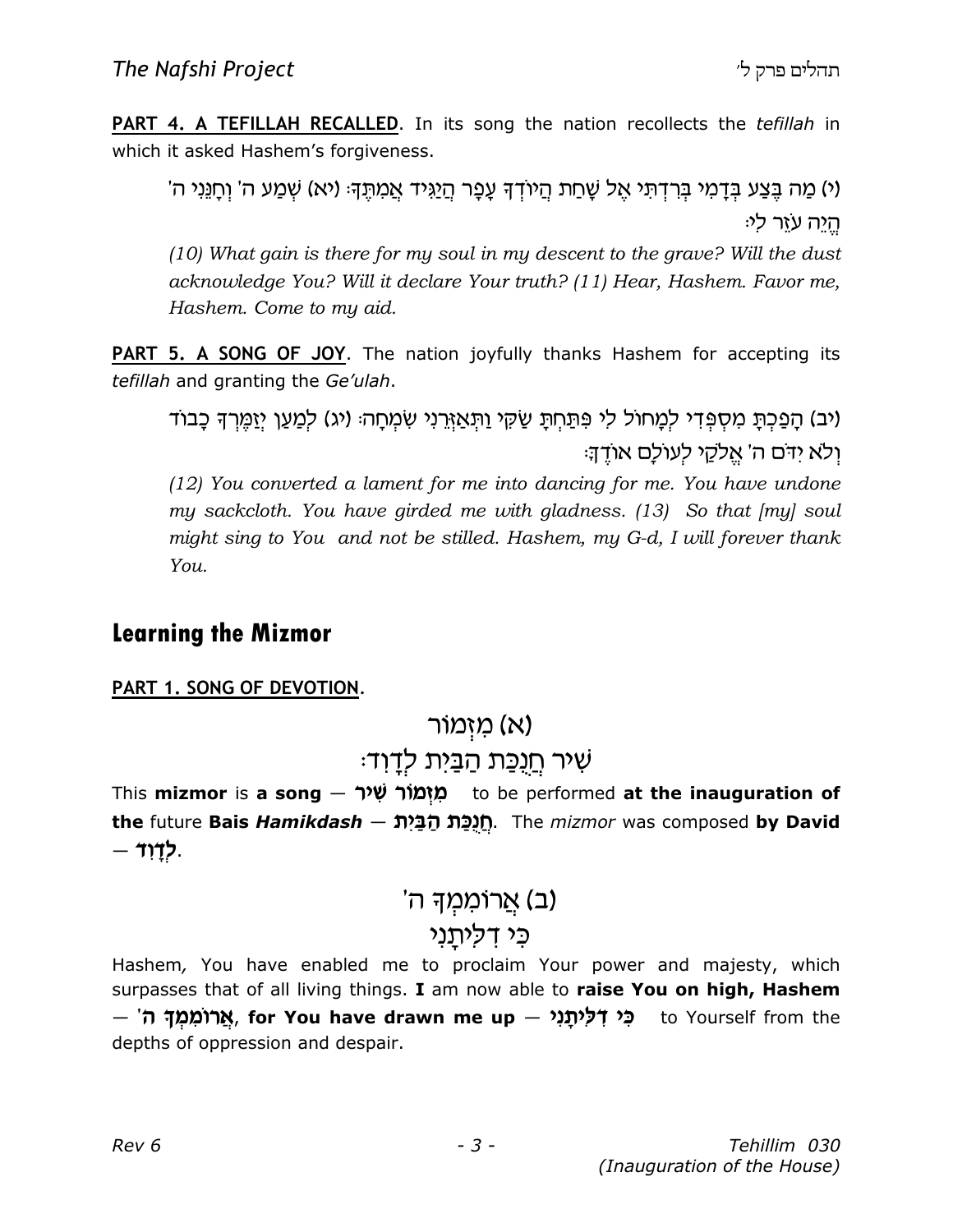**PART 4. A TEFILLAH RECALLED.** In its song the nation recollects the *tefillah* in which it asked Hashem's forgiveness.

(י) מַה בֶּצַע בְּדָמִי בְּרִדְתִּי אֶל שָׁחַת הֲיוֹדְדָּ עָפָר הֲיַגִּיד אֲמִתֶּדְּ: (יא) שְׁמַע ה' וְחָנֵּיִי ה' ּהֵיה עֹזֵר לִי

(10) What gain is there for my soul in my descent to the grave? Will the dust acknowledge You? Will it declare Your truth? (11) Hear, Hashem. Favor me, Hashem. Come to my aid.

**PART 5. A SONG OF JOY.** The nation joyfully thanks Hashem for accepting its tefillah and granting the Ge'ulah.

(יב) הַפַּכִתָּ מִסְפִּדִי לִמֲחוֹל לִי פִּתַּחִתָּ שַׂקִּי וַתְּאֲזֶרֵנִי שְׂמְחָהּ (יג) לִמֲעַן יִזַמֵּרִךְ כָבוֹד ולא ידם ה' אֱלקי לְעוֹלַם אוֹדֵךְ:

(12) You converted a lament for me into dancing for me. You have undone my sackcloth. You have girded me with gladness. (13) So that [my] soul might sing to You and not be stilled. Hashem, my G-d, I will forever thank You.

### Learning the Mizmor

PART 1. SONG OF DEVOTION.

### (א) מַזְמוֹר

### :שִׁיר <u>חֲנֻכּ</u>ת הַבַּיִת לְדָוד

This mizmor is a song – מְזְמוֹר שְׁיר to be performed at the inauguration of the future Bais Hamikdash — חֵנְכָּת הַבָּיִת. The mizmor was composed by David  $-117$ .

# (ב) אֲרוֹמ*ַמְ*ךָ ה' כי דליתני

Hashem, You have enabled me to proclaim Your power and majesty, which surpasses that of all living things. I am now able to raise You on high, Hashem — 'אֲרוֹמְמַךְ ה', for You have drawn me up – "מִי דְּלִיתֲנִי ה depths of oppression and despair.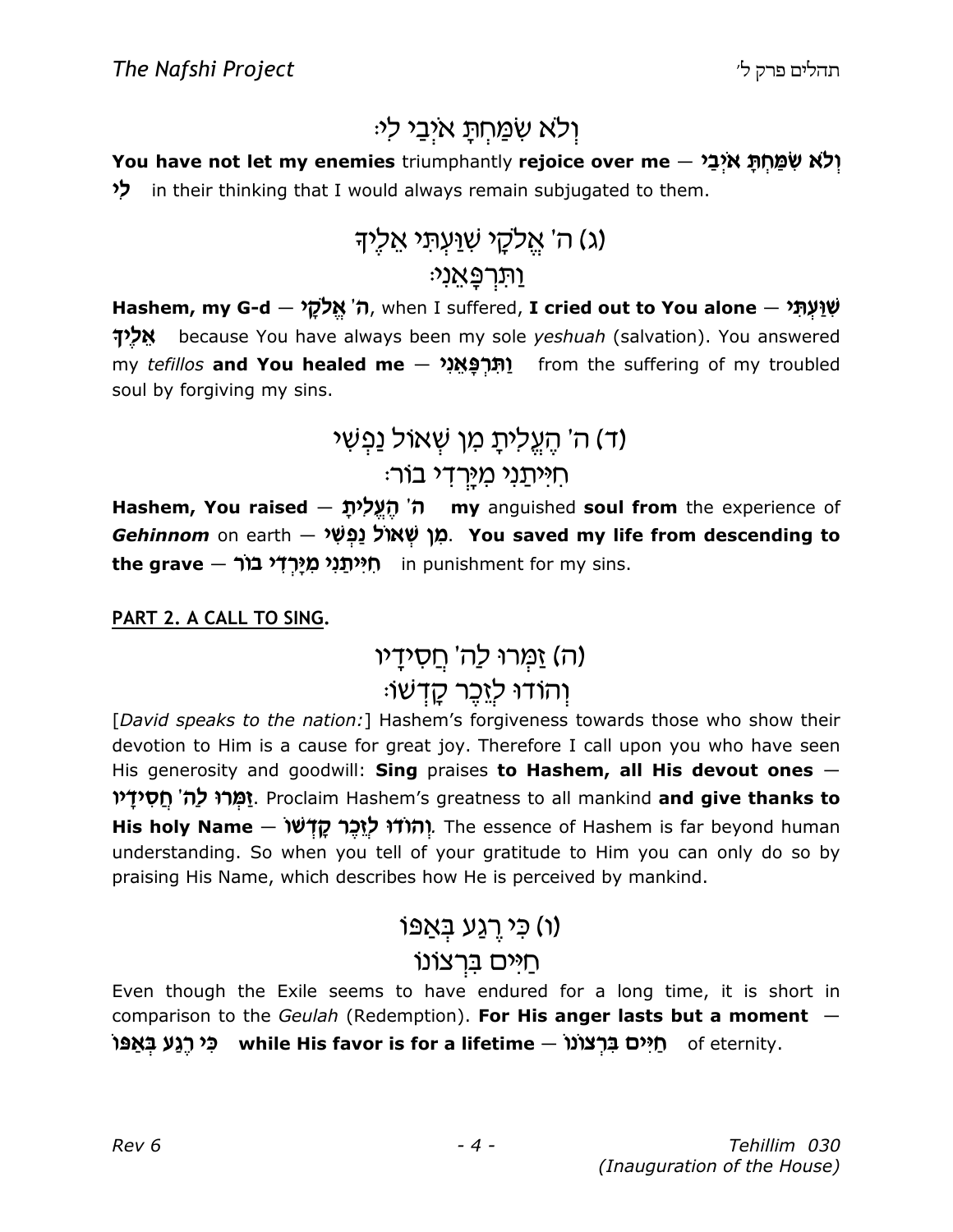# ולא שמחת איבי לי<sub>:</sub>

You have not let my enemies triumphantly rejoice over me  $-$  יָלְא שְׁמַחְתַּ אִיְבַי in their thinking that I would always remain subjugated to them.

# (ג) ה' אֵלקֵי שִׁנַּעִתִּי אֵלְיִךָ ֿוּתַרְפֵּאֲנָי

Hashem, my G-d - אֲלָקָל (ה' אֱלֹמֻל – Hashem, my G-d אָלֵיךְ because You have always been my sole yeshuah (salvation). You answered my tefillos and You healed me – וְתָרְפָּאֲנָי from the suffering of my troubled soul by forgiving my sins.

# (ד) ה' הֵעֵלִיתָ מִן שִׁאוֹל נַפְשִׁי <u>ּחִיּיִתְנִי מִיּרְדִי בוֹר</u>

Hashem, You raised  $-$  ה' הֵעֱלִית my anguished soul from the experience of Gehinnom on earth – מֵן שָׁאוֹל נַפְשָׁי. You saved my life from descending to the grave — תְיּוֹתֲנָי מְיַרְדָי בוֹר

#### PART 2. A CALL TO SING.

(ה) זַמְּרוּ לַה' חֵסְידָיו וְהוֹדוּ לְזֵכֵר קָדָשׁו<sub>ֹ</sub>

[David speaks to the nation:] Hashem's forgiveness towards those who show their devotion to Him is a cause for great joy. Therefore I call upon you who have seen His generosity and goodwill: Sing praises to Hashem, all His devout ones -וַמְרוּ לַה' חֵסְידָיו. Proclaim Hashem's greatness to all mankind and give thanks to His holy Name — יהודו ליבר קדשו. The essence of Hashem is far beyond human understanding. So when you tell of your gratitude to Him you can only do so by praising His Name, which describes how He is perceived by mankind.

### ו) כי רגע באפו

### חיים ברצונו

Even though the Exile seems to have endured for a long time, it is short in comparison to the Geulah (Redemption). For His anger lasts but a moment  $-$ וֹמַ כֵּי רַגְעַ בַּאֲפּוֹ while His favor is for a lifetime — תֵיּים of eternity.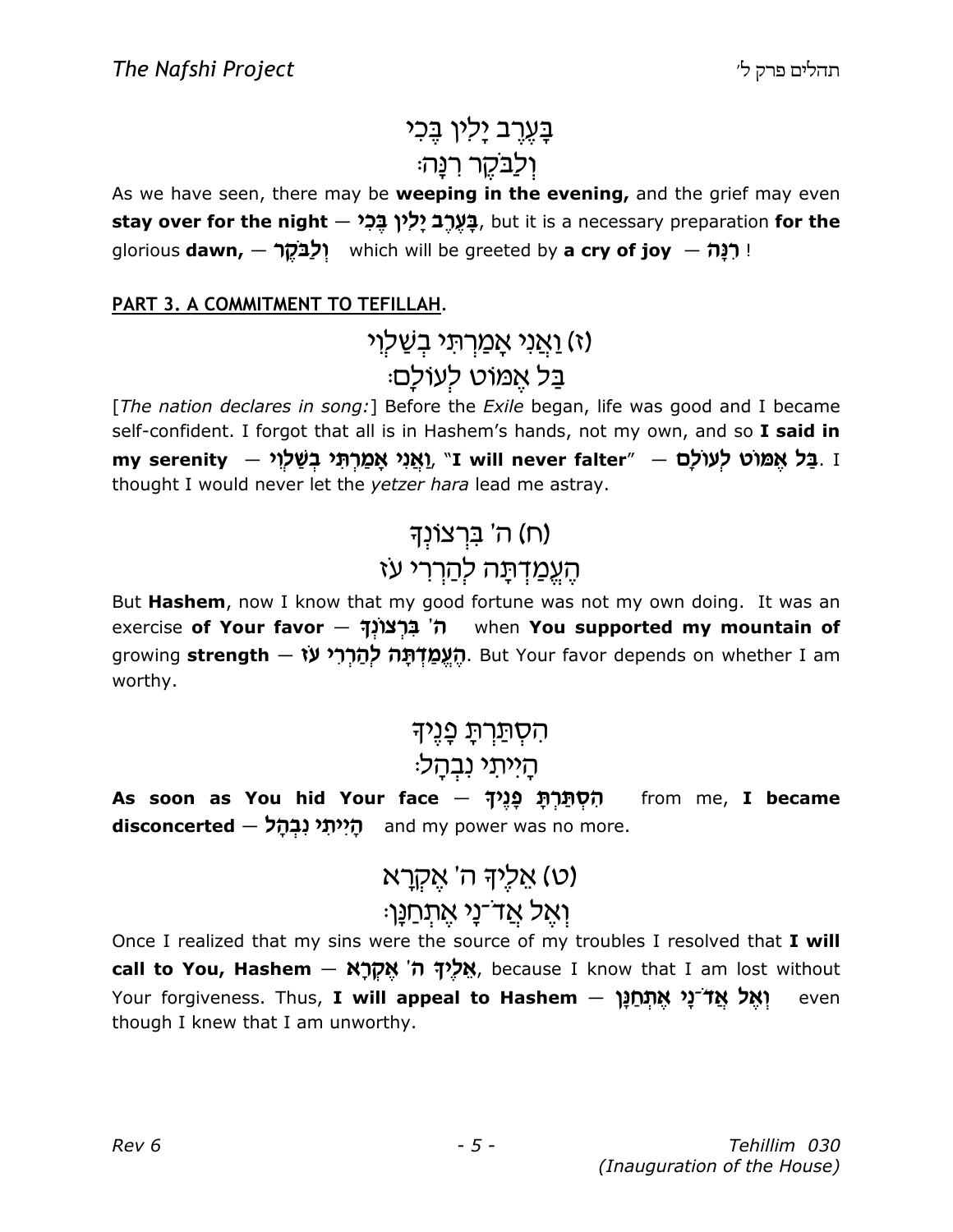# בַּעֲרֵב יָלִין בֵּכִי ולבקר רנַה<sup>:</sup>

As we have seen, there may be weeping in the evening, and the grief may even stay over for the night - בַּעֲרֶב יַלְין בֵּכָל, but it is a necessary preparation for the glorious **dawn,**  $-$  **יִלְבֹּקֶר which will be greeted by a cry of joy**  $-$  **!** 

#### PART 3. A COMMITMENT TO TEFILLAH.

# ואני אמרתי בשלוי) ּבַּל אֵמוֹט לִעוֹלַָם

[The nation declares in song:] Before the Exile began, life was good and I became self-confident. I forgot that all is in Hashem's hands, not my own, and so I said in my serenity – בַּל אֱמּוֹט לְעוֹלָם. "I will never falter" – מֵמַרְתְּי בְשָׁלְוֶי thought I would never let the yetzer hara lead me astray.

# (ח) ה' בּרצוֹנִד הַעֵמַדְתָה לְחַרְרִי עז

But Hashem, now I know that my good fortune was not my own doing. It was an exercise of Your favor – ה' בְּרָצוֹנְךָ when You supported my mountain of growing strength — הַעֱמַדָּתָּה לְהַרִרִי עֹז growing strength — יהוח growing strength worthy.

# הסִתַּרְתַּ כַּנֵיך הַייתי נבהַל

As soon as You hid Your face – הְסְתַּרְתָּ פְנֵיךָ from me, I became disconcerted — הַיִּיתְי נִבְהָל and my power was no more.

> ע) אַליִךְ ה' אֵקְרַא ואל אַד־נַי אַתְחַנֵּן<sup>ָ</sup>

Once I realized that my sins were the source of my troubles I resolved that I will call to You, Hashem – אֵלֵיךָ ה' אֱקְרָא, because I know that I am lost without Your forgiveness. Thus, I will appeal to Hashem – ואל אַדֿנַי אַתחַנַן even though I knew that I am unworthy.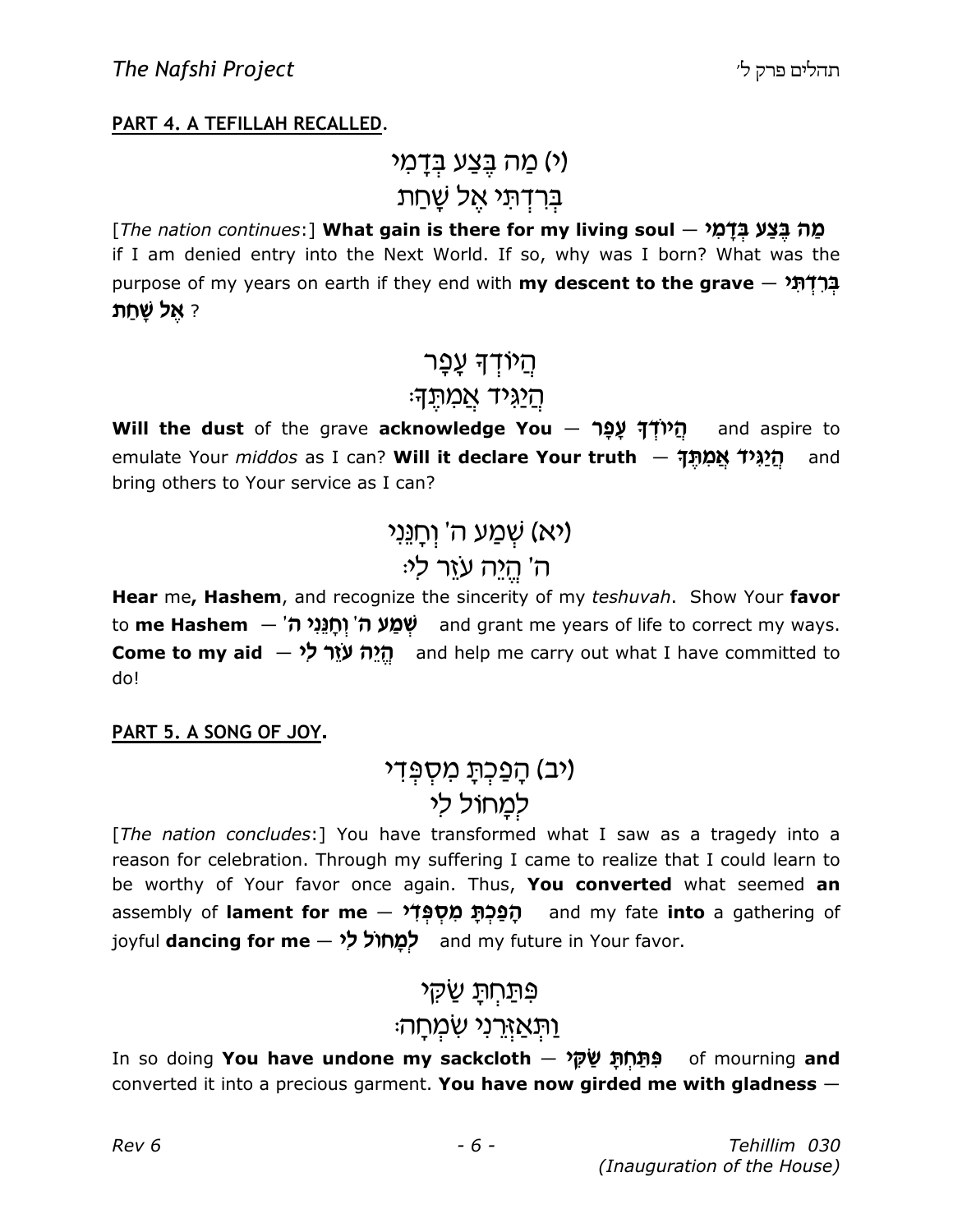#### PART 4. A TEFILLAH RECALLED.

# (י) מַה בֵּצַע ב*ִדַ*מִי ברדתי אל שַׁחַת

[The nation continues:] What gain is there for my living soul  $-$  מְה בֵּצַע בִדָּמִ if I am denied entry into the Next World. If so, why was I born? What was the purpose of my years on earth if they end with my descent to the grave  $-$  אֲרָדָתָ ? אל שחת

### ְהַיֹּוּדְךָ עֲפָר

#### ּהַיַגִּיד אֲמִתֵּךָ

Will the dust of the grave acknowledge You - הַ  $\frac{d}{dx}$  and aspire to emulate Your *middos* as I can? Will it declare Your truth  $-$  הַ<sup>2</sup> 3Nd and bring others to Your service as I can?

> (יא) שַׁמַע ה' וחנֵני ה' הֵיֵה עזֵר לִי

Hear me, Hashem, and recognize the sincerity of my teshuvah. Show Your favor to me Hashem – שְׁמַ*ע ה'* וְחֻנֵּנִי ה' and grant me years of life to correct my ways. **Come to my aid**  $\overrightarrow{y}$  **re carry out what I have committed to** do!

#### PART 5. A SONG OF JOY.

### (יב) הַפַּכְתָ מִסְפְּדִי למחול לי

[The nation concludes:] You have transformed what I saw as a tragedy into a reason for celebration. Through my suffering I came to realize that I could learn to be worthy of Your favor once again. Thus, You converted what seemed an assembly of lament for me  $-$  הַפְּכָתּ מֵסְפָּדֹי and my fate into a gathering of joyful dancing for me - לְמָחוֹל לִי

### פּתַחְתַּ שַׁקִי

### <u>ֿוַתְּאַזְרֵנִי שָׂמְחָ</u>ה

In so doing **You have undone my sackcloth – פְּתַּחִתָּ שַׂקָּי** of mourning **and** converted it into a precious garment. You have now girded me with gladness  $-$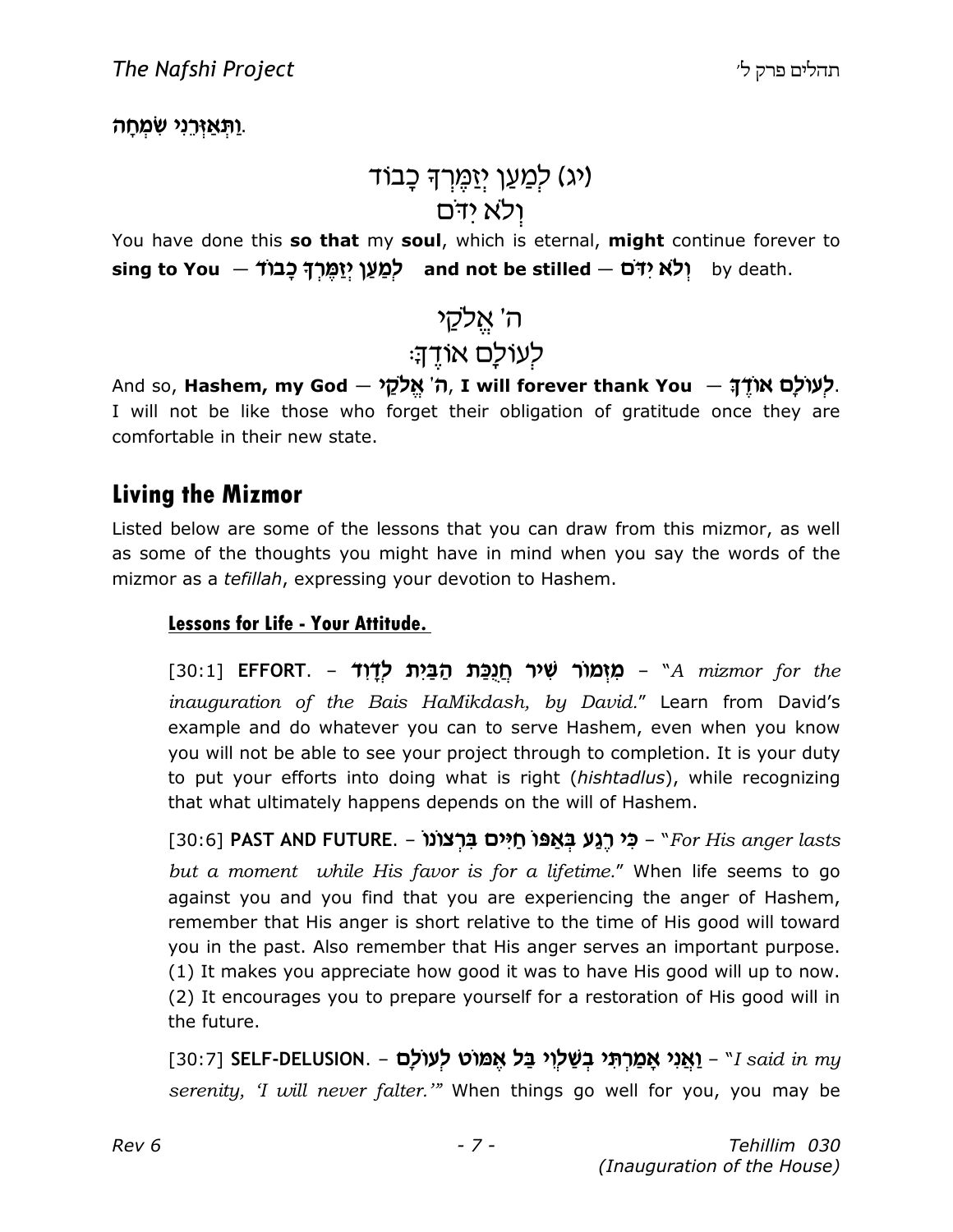ַ וַתְּאַיְרֵנִי שְׁמְחַה.

# ו*יג*) לִמַעַן יִזַמֵּרִךְ כָבוֹד) ולא ידם

You have done this so that my soul, which is eternal, might continue forever to sing to You  $-$  יִלֹא יִדּׁם and not be stilled  $-$  t לְמַעַן יִזַמֱרִךְ כָּבוֹ

# ה' אֵלקֵי לעולם אודה

And so, Hashem, my God – לעולם אוד; – And so, Hashem, my God – לאולם I will not be like those who forget their obligation of gratitude once they are comfortable in their new state.

### Living the Mizmor

Listed below are some of the lessons that you can draw from this mizmor, as well as some of the thoughts you might have in mind when you say the words of the mizmor as a tefillah, expressing your devotion to Hashem.

#### Lessons for Life - Your Attitude.

[30:1] EFFORT. – מַזְמוֹר שָׁיר חַנְכַּת הַבַּיִת לְדָוֹד (30:1 inauguration of the Bais HaMikdash, by David." Learn from David's example and do whatever you can to serve Hashem, even when you know you will not be able to see your project through to completion. It is your duty to put your efforts into doing what is right (hishtadlus), while recognizing that what ultimately happens depends on the will of Hashem.

 $[30:6]$  PAST AND FUTURE. – כִּי רַגֲע בְּאֲפּוֹ חֵיִּים בְרָצוֹנוֹ $F$ or His anger lasts but a moment while His favor is for a lifetime." When life seems to go against you and you find that you are experiencing the anger of Hashem, remember that His anger is short relative to the time of His good will toward you in the past. Also remember that His anger serves an important purpose. (1) It makes you appreciate how good it was to have His good will up to now. (2) It encourages you to prepare yourself for a restoration of His good will in the future.

[30:7] SELF-DELUSION. – יַאֲנִי אֲמַרְתָּי בְשַׁלְוִי בַּל אֶמּוֹט לְעוֹלַם [30:7] [30:7] serenity, 'I will never falter.'" When things go well for you, you may be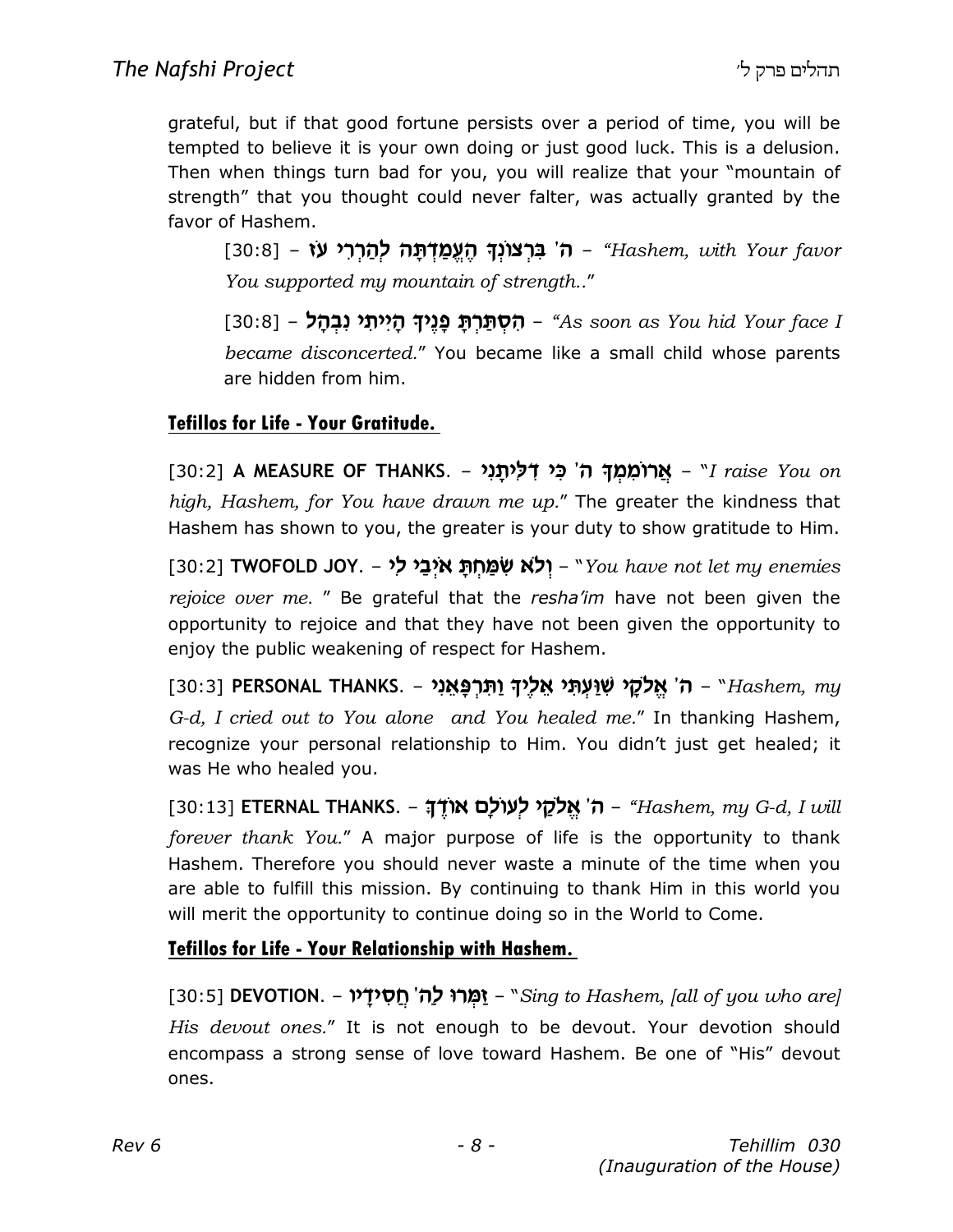grateful, but if that good fortune persists over a period of time, you will be tempted to believe it is your own doing or just good luck. This is a delusion. Then when things turn bad for you, you will realize that your "mountain of strength" that you thought could never falter, was actually granted by the favor of Hashem.

[30:8] – ה' בּרצונך העמדתה להררי עו - [30:8] [30:8] You supported my mountain of strength.."

[30:8] – הְסְתַּרְתַּ פְּנֵיךָ הָיִיתֵי נִבְהָל – [30:8] – ה became disconcerted." You became like a small child whose parents are hidden from him.

#### Tefillos for Life - Your Gratitude.

[30:2] A MEASURE OF THANKS. – אֲרוֹמְמִךְּ ה' כִּי דְלַיְתֵנִי – [30:2] A MEASURE OF THANKS. high, Hashem, for You have drawn me up." The greater the kindness that Hashem has shown to you, the greater is your duty to show gratitude to Him.

[30:2] TWOFOLD JOY. – יְלֹא שְׁמַחְתַּ אִיְבַי לִי – "You have not let my enemies rejoice over me. " Be grateful that the resha'im have not been given the opportunity to rejoice and that they have not been given the opportunity to enjoy the public weakening of respect for Hashem.

 $[30:3]$  PERSONAL THANKS. – ה' אֱלֹקֵי שׁוַעְתִּי אֲלֹיךָ וַתְּרְפַּאֲנִי – "Hashem, my G-d, I cried out to You alone and You healed me." In thanking Hashem, recognize your personal relationship to Him. You didn't just get healed; it was He who healed you.

[30:13] ETERNAL THANKS. – ה' אֱלֹקֵי לְעוֹלָם אוֹדֶךָ – "Hashem, my G-d, I will forever thank You." A major purpose of life is the opportunity to thank Hashem. Therefore you should never waste a minute of the time when you are able to fulfill this mission. By continuing to thank Him in this world you will merit the opportunity to continue doing so in the World to Come.

#### Tefillos for Life - Your Relationship with Hashem.

[30:5] **DEVOTION. – יָמְרוּ לַה' חֵסִידָיו** – "Sing to Hashem, [all of you who are] His devout ones." It is not enough to be devout. Your devotion should encompass a strong sense of love toward Hashem. Be one of "His" devout ones.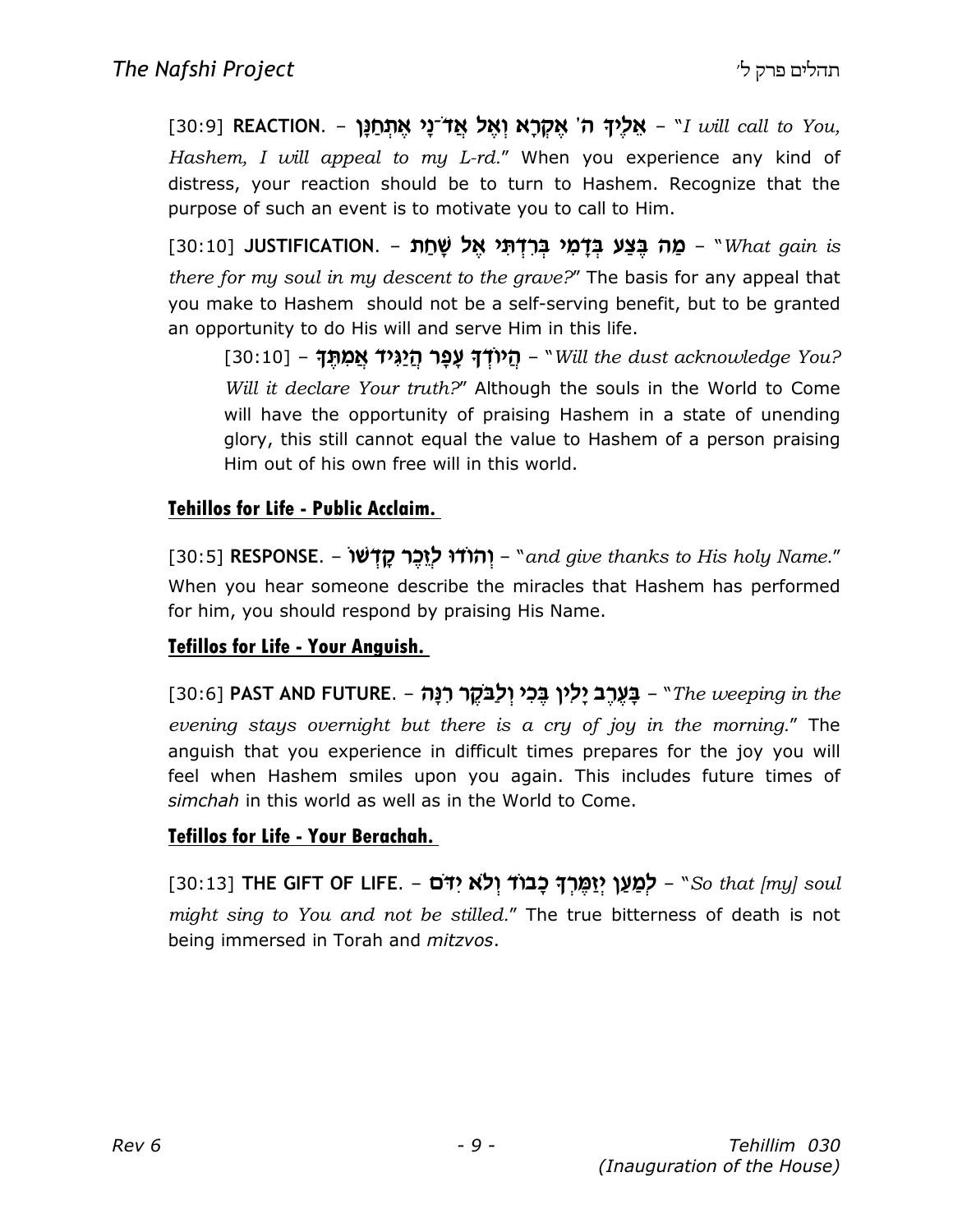[30:9] REACTION. – אֱלֵיךָ ה' אֱקְרָא וְאֵל אֲדֹ־נַי אֱתְחַנַּן – Nuill call to You, Hashem, I will appeal to my L-rd." When you experience any kind of distress, your reaction should be to turn to Hashem. Recognize that the purpose of such an event is to motivate you to call to Him.

[30:10] JUSTIFICATION. – מַה בִּצַע בִּדָּמִי בִּרְדְּתֵי אֵל שַׁחַת – "What gain is there for my soul in my descent to the grave?" The basis for any appeal that you make to Hashem should not be a self-serving benefit, but to be granted an opportunity to do His will and serve Him in this life.

[30:10] – הַיוֹדְדָ עָפָר הַיַגְיד אֲמְתִד – Sull the dust acknowledge You?] Will it declare Your truth?" Although the souls in the World to Come will have the opportunity of praising Hashem in a state of unending glory, this still cannot equal the value to Hashem of a person praising Him out of his own free will in this world.

#### Tehillos for Life - Public Acclaim.

[30:5] RESPONSE. – יהודו לוכר קדשו – "and give thanks to His holy Name." When you hear someone describe the miracles that Hashem has performed for him, you should respond by praising His Name.

#### Tefillos for Life - Your Anguish.

 $[30:6]$  PAST AND FUTURE. – בֵּעֱרֶב יַלְין בֵּכִי וְלַבּקֶר רְנַה – "The weeping in the evening stays overnight but there is a cry of joy in the morning." The anguish that you experience in difficult times prepares for the joy you will feel when Hashem smiles upon you again. This includes future times of simchah in this world as well as in the World to Come.

#### Tefillos for Life - Your Berachah.

[30:13] THE GIFT OF LIFE. - לְמַעַן יִזְמֵרִךְ כָבוֹד וְלֹא יִדֹּם "So that [my] soul might sing to You and not be stilled." The true bitterness of death is not being immersed in Torah and *mitzvos*.